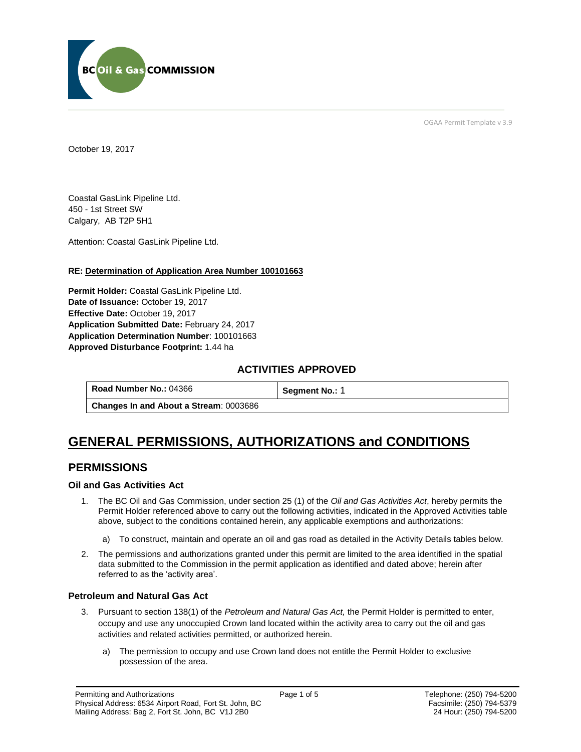

OGAA Permit Template v 3.9

October 19, 2017

Coastal GasLink Pipeline Ltd. 450 - 1st Street SW Calgary, AB T2P 5H1

[Attention:](#page-0-0) Coastal GasLink Pipeline Ltd.

#### **RE: Determination of Application Area Number 100101663**

**[Permit Holder:](#page-0-0)** Coastal GasLink Pipeline Ltd. **[Date of Issuance:](#page-0-0)** October 19, 2017 **[Effective Date:](#page-0-1)** October 19, 2017 **[Application Submitted Date:](#page-0-0)** February 24, 2017 **[Application Determination Number](#page-0-0)**: 100101663 **Approved Disturbance Footprint:** 1.44 ha

### **ACTIVITIES APPROVED**

| Road Number No.: 04366                        | Segment No.: 1 |
|-----------------------------------------------|----------------|
| <b>Changes In and About a Stream: 0003686</b> |                |

# **GENERAL PERMISSIONS, AUTHORIZATIONS and CONDITIONS**

## **PERMISSIONS**

#### **Oil and Gas Activities Act**

- <span id="page-0-0"></span>1. The BC Oil and Gas Commission, under section 25 (1) of the *Oil and Gas Activities Act*, hereby permits the Permit Holder referenced above to carry out the following activities, indicated in the Approved Activities table above, subject to the conditions contained herein, any applicable exemptions and authorizations:
	- a) To construct, maintain and operate an oil and gas road as detailed in the Activity Details tables below.
- <span id="page-0-1"></span>2. The permissions and authorizations granted under this permit are limited to the area identified in the spatial data submitted to the Commission in the permit application as identified and dated above; herein after referred to as the 'activity area'.

#### **Petroleum and Natural Gas Act**

- 3. Pursuant to section 138(1) of the *Petroleum and Natural Gas Act,* the Permit Holder is permitted to enter, occupy and use any unoccupied Crown land located within the activity area to carry out the oil and gas activities and related activities permitted, or authorized herein.
	- a) The permission to occupy and use Crown land does not entitle the Permit Holder to exclusive possession of the area.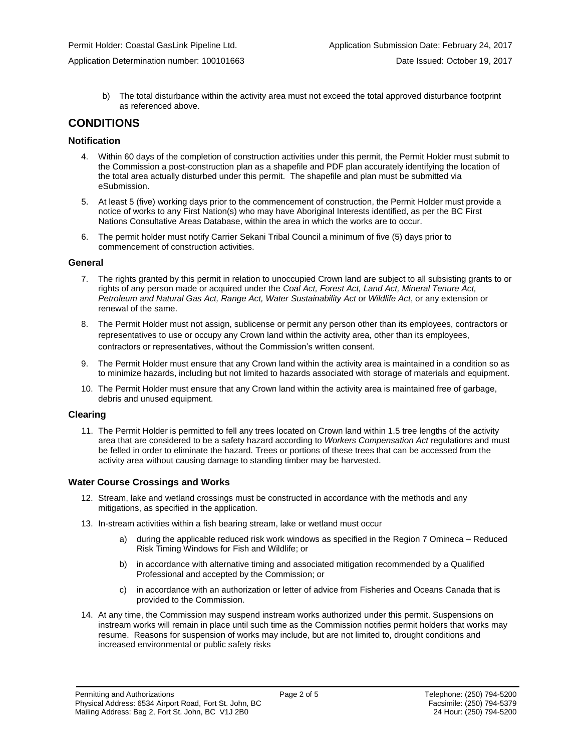Application Determination number: 100101663 Date Issued: October 19, 2017

b) The total disturbance within the activity area must not exceed the total approved disturbance footprint as referenced above.

## **CONDITIONS**

#### **Notification**

- 4. Within 60 days of the completion of construction activities under this permit, the Permit Holder must submit to the Commission a post-construction plan as a shapefile and PDF plan accurately identifying the location of the total area actually disturbed under this permit. The shapefile and plan must be submitted via eSubmission.
- 5. At least 5 (five) working days prior to the commencement of construction, the Permit Holder must provide a notice of works to any First Nation(s) who may have Aboriginal Interests identified, as per the BC First Nations Consultative Areas Database, within the area in which the works are to occur.
- 6. The permit holder must notify Carrier Sekani Tribal Council a minimum of five (5) days prior to commencement of construction activities.

#### **General**

- 7. The rights granted by this permit in relation to unoccupied Crown land are subject to all subsisting grants to or rights of any person made or acquired under the *Coal Act, Forest Act, Land Act, Mineral Tenure Act, Petroleum and Natural Gas Act, Range Act, Water Sustainability Act* or *Wildlife Act*, or any extension or renewal of the same.
- 8. The Permit Holder must not assign, sublicense or permit any person other than its employees, contractors or representatives to use or occupy any Crown land within the activity area, other than its employees, contractors or representatives, without the Commission's written consent.
- 9. The Permit Holder must ensure that any Crown land within the activity area is maintained in a condition so as to minimize hazards, including but not limited to hazards associated with storage of materials and equipment.
- 10. The Permit Holder must ensure that any Crown land within the activity area is maintained free of garbage, debris and unused equipment.

#### **Clearing**

11. The Permit Holder is permitted to fell any trees located on Crown land within 1.5 tree lengths of the activity area that are considered to be a safety hazard according to *Workers Compensation Act* regulations and must be felled in order to eliminate the hazard. Trees or portions of these trees that can be accessed from the activity area without causing damage to standing timber may be harvested.

#### **Water Course Crossings and Works**

- 12. Stream, lake and wetland crossings must be constructed in accordance with the methods and any mitigations, as specified in the application.
- 13. In-stream activities within a fish bearing stream, lake or wetland must occur
	- a) [during the applicable reduced risk work windows as specified in the](#page-0-0) Region 7 Omineca Reduced Risk Timing Windows for Fish and Wildlife; or
	- b) in accordance with alternative timing and associated mitigation recommended by a Qualified Professional and accepted by the Commission; or
	- c) in accordance with an authorization or letter of advice from Fisheries and Oceans Canada that is provided to the Commission.
- 14. At any time, the Commission may suspend instream works authorized under this permit. Suspensions on instream works will remain in place until such time as the Commission notifies permit holders that works may resume. Reasons for suspension of works may include, but are not limited to, drought conditions and increased environmental or public safety risks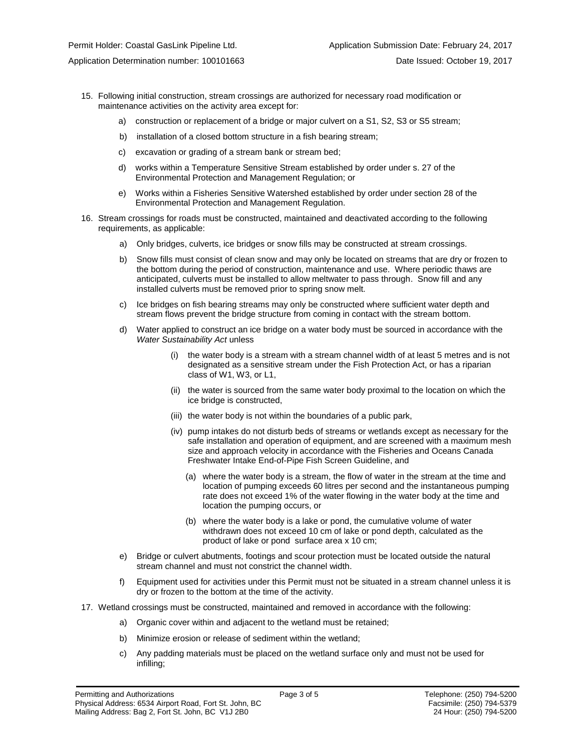- 15. Following initial construction, stream crossings are authorized for necessary road modification or maintenance activities on the activity area except for:
	- a) construction or replacement of a bridge or major culvert on a S1, S2, S3 or S5 stream;
	- b) installation of a closed bottom structure in a fish bearing stream;
	- c) excavation or grading of a stream bank or stream bed;
	- d) works within a Temperature Sensitive Stream established by order under s. 27 of the Environmental Protection and Management Regulation; or
	- e) Works within a Fisheries Sensitive Watershed established by order under section 28 of the Environmental Protection and Management Regulation.
- 16. Stream crossings for roads must be constructed, maintained and deactivated according to the following requirements, as applicable:
	- a) Only bridges, culverts, ice bridges or snow fills may be constructed at stream crossings.
	- b) Snow fills must consist of clean snow and may only be located on streams that are dry or frozen to the bottom during the period of construction, maintenance and use. Where periodic thaws are anticipated, culverts must be installed to allow meltwater to pass through. Snow fill and any installed culverts must be removed prior to spring snow melt.
	- c) Ice bridges on fish bearing streams may only be constructed where sufficient water depth and stream flows prevent the bridge structure from coming in contact with the stream bottom.
	- d) Water applied to construct an ice bridge on a water body must be sourced in accordance with the *Water Sustainability Act* unless
		- (i) the water body is a stream with a stream channel width of at least 5 metres and is not designated as a sensitive stream under the Fish Protection Act, or has a riparian class of W1, W3, or L1,
		- (ii) the water is sourced from the same water body proximal to the location on which the ice bridge is constructed,
		- (iii) the water body is not within the boundaries of a public park,
		- (iv) pump intakes do not disturb beds of streams or wetlands except as necessary for the safe installation and operation of equipment, and are screened with a maximum mesh size and approach velocity in accordance with the Fisheries and Oceans Canada Freshwater Intake End-of-Pipe Fish Screen Guideline, and
			- (a) where the water body is a stream, the flow of water in the stream at the time and location of pumping exceeds 60 litres per second and the instantaneous pumping rate does not exceed 1% of the water flowing in the water body at the time and location the pumping occurs, or
			- (b) where the water body is a lake or pond, the cumulative volume of water withdrawn does not exceed 10 cm of lake or pond depth, calculated as the product of lake or pond surface area x 10 cm;
	- e) Bridge or culvert abutments, footings and scour protection must be located outside the natural stream channel and must not constrict the channel width.
	- f) Equipment used for activities under this Permit must not be situated in a stream channel unless it is dry or frozen to the bottom at the time of the activity.
- 17. Wetland crossings must be constructed, maintained and removed in accordance with the following:
	- a) Organic cover within and adjacent to the wetland must be retained;
	- b) Minimize erosion or release of sediment within the wetland;
	- c) Any padding materials must be placed on the wetland surface only and must not be used for infilling;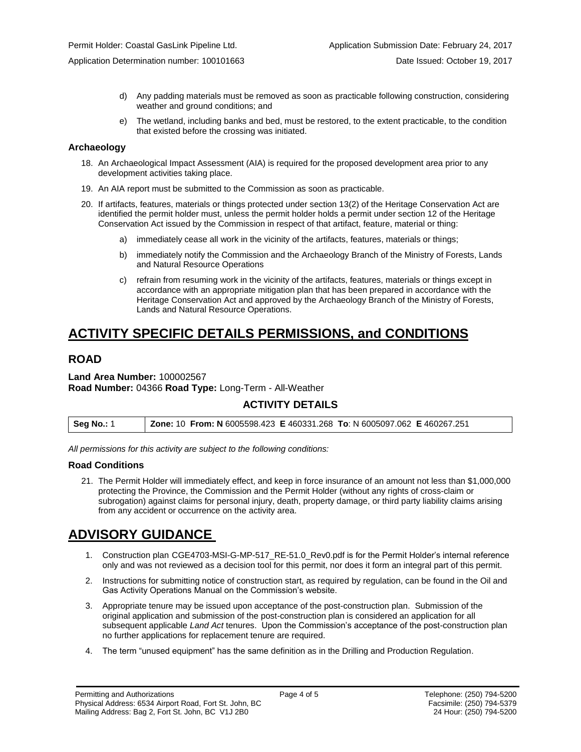Application Determination number: 100101663 Date Issued: October 19, 2017

- d) Any padding materials must be removed as soon as practicable following construction, considering weather and ground conditions; and
- e) The wetland, including banks and bed, must be restored, to the extent practicable, to the condition that existed before the crossing was initiated.

#### **Archaeology**

- 18. An Archaeological Impact Assessment (AIA) is required for the proposed development area prior to any development activities taking place.
- 19. An AIA report must be submitted to the Commission as soon as practicable.
- 20. If artifacts, features, materials or things protected under section 13(2) of the Heritage Conservation Act are identified the permit holder must, unless the permit holder holds a permit under section 12 of the Heritage Conservation Act issued by the Commission in respect of that artifact, feature, material or thing:
	- a) immediately cease all work in the vicinity of the artifacts, features, materials or things;
	- b) immediately notify the Commission and the Archaeology Branch of the Ministry of Forests, Lands and Natural Resource Operations
	- c) refrain from resuming work in the vicinity of the artifacts, features, materials or things except in accordance with an appropriate mitigation plan that has been prepared in accordance with the Heritage Conservation Act and approved by the Archaeology Branch of the Ministry of Forests, Lands and Natural Resource Operations.

## **ACTIVITY SPECIFIC DETAILS PERMISSIONS, and CONDITIONS**

## **ROAD**

#### **Land Area Number:** 100002567 **Road Number:** 04366 **Road Type:** Long-Term - All-Weather

### **ACTIVITY DETAILS**

| <b>Seg No.: 1</b> | <b>Zone: 10 From: N</b> 6005598.423 E 460331.268 To: N 6005097.062 E 460267.251 |  |
|-------------------|---------------------------------------------------------------------------------|--|
|-------------------|---------------------------------------------------------------------------------|--|

*All permissions for this activity are subject to the following conditions:*

#### **Road Conditions**

21. The Permit Holder will immediately effect, and keep in force insurance of an amount not less than \$1,000,000 protecting the Province, the Commission and the Permit Holder (without any rights of cross-claim or subrogation) against claims for personal injury, death, property damage, or third party liability claims arising from any accident or occurrence on the activity area.

## **ADVISORY GUIDANCE**

- 1. Construction plan CGE4703-MSI-G-MP-517\_RE-51.0\_Rev0.pdf is for the Permit Holder's internal reference only and was not reviewed as a decision tool for this permit, nor does it form an integral part of this permit.
- 2. Instructions for submitting notice of construction start, as required by regulation, can be found in the Oil and Gas Activity Operations Manual on the Commission's website.
- 3. Appropriate tenure may be issued upon acceptance of the post-construction plan. Submission of the original application and submission of the post-construction plan is considered an application for all subsequent applicable *Land Act* tenures. Upon the Commission's acceptance of the post-construction plan no further applications for replacement tenure are required.
- 4. The term "unused equipment" has the same definition as in the Drilling and Production Regulation.